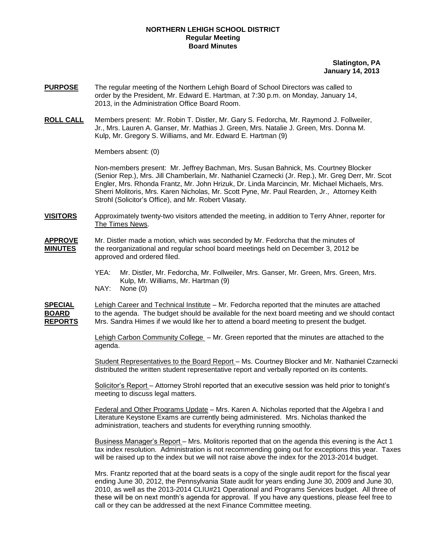## **NORTHERN LEHIGH SCHOOL DISTRICT Regular Meeting Board Minutes**

## **Slatington, PA January 14, 2013**

- **PURPOSE** The regular meeting of the Northern Lehigh Board of School Directors was called to order by the President, Mr. Edward E. Hartman, at 7:30 p.m. on Monday, January 14, 2013, in the Administration Office Board Room.
- **ROLL CALL** Members present: Mr. Robin T. Distler, Mr. Gary S. Fedorcha, Mr. Raymond J. Follweiler, Jr., Mrs. Lauren A. Ganser, Mr. Mathias J. Green, Mrs. Natalie J. Green, Mrs. Donna M. Kulp, Mr. Gregory S. Williams, and Mr. Edward E. Hartman (9)

Members absent: (0)

Non-members present: Mr. Jeffrey Bachman, Mrs. Susan Bahnick, Ms. Courtney Blocker (Senior Rep.), Mrs. Jill Chamberlain, Mr. Nathaniel Czarnecki (Jr. Rep.), Mr. Greg Derr, Mr. Scot Engler, Mrs. Rhonda Frantz, Mr. John Hrizuk, Dr. Linda Marcincin, Mr. Michael Michaels, Mrs. Sherri Molitoris, Mrs. Karen Nicholas, Mr. Scott Pyne, Mr. Paul Rearden, Jr., Attorney Keith Strohl (Solicitor's Office), and Mr. Robert Vlasaty.

- **VISITORS** Approximately twenty-two visitors attended the meeting, in addition to Terry Ahner, reporter for The Times News.
- **APPROVE** Mr. Distler made a motion, which was seconded by Mr. Fedorcha that the minutes of **MINUTES** the reorganizational and regular school board meetings held on December 3, 2012 be approved and ordered filed.
	- YEA: Mr. Distler, Mr. Fedorcha, Mr. Follweiler, Mrs. Ganser, Mr. Green, Mrs. Green, Mrs. Kulp, Mr. Williams, Mr. Hartman (9)
	- NAY: None (0)

**SPECIAL** Lehigh Career and Technical Institute – Mr. Fedorcha reported that the minutes are attached **BOARD** to the agenda. The budget should be available for the next board meeting and we should contact **REPORTS** Mrs. Sandra Himes if we would like her to attend a board meeting to present the budget. Mrs. Sandra Himes if we would like her to attend a board meeting to present the budget.

> Lehigh Carbon Community College – Mr. Green reported that the minutes are attached to the agenda.

Student Representatives to the Board Report – Ms. Courtney Blocker and Mr. Nathaniel Czarnecki distributed the written student representative report and verbally reported on its contents.

Solicitor's Report – Attorney Strohl reported that an executive session was held prior to tonight's meeting to discuss legal matters.

Federal and Other Programs Update – Mrs. Karen A. Nicholas reported that the Algebra I and Literature Keystone Exams are currently being administered. Mrs. Nicholas thanked the administration, teachers and students for everything running smoothly.

Business Manager's Report – Mrs. Molitoris reported that on the agenda this evening is the Act 1 tax index resolution. Administration is not recommending going out for exceptions this year. Taxes will be raised up to the index but we will not raise above the index for the 2013-2014 budget.

Mrs. Frantz reported that at the board seats is a copy of the single audit report for the fiscal year ending June 30, 2012, the Pennsylvania State audit for years ending June 30, 2009 and June 30, 2010, as well as the 2013-2014 CLIU#21 Operational and Programs Services budget. All three of these will be on next month's agenda for approval. If you have any questions, please feel free to call or they can be addressed at the next Finance Committee meeting.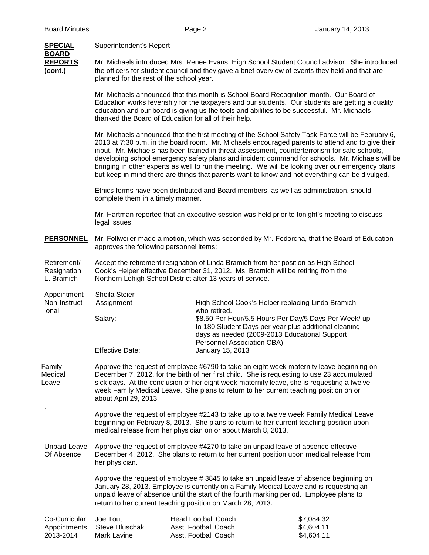| <b>SPECIAL</b>                             | <b>Superintendent's Report</b>                                                                                                                                                                                                                                                                                                                                                                          |                                                                                                                                                                                                                                       |                                                                                                                                                                                                                                                                                                                                                                                                                                                                                                                                                                                                                   |  |  |
|--------------------------------------------|---------------------------------------------------------------------------------------------------------------------------------------------------------------------------------------------------------------------------------------------------------------------------------------------------------------------------------------------------------------------------------------------------------|---------------------------------------------------------------------------------------------------------------------------------------------------------------------------------------------------------------------------------------|-------------------------------------------------------------------------------------------------------------------------------------------------------------------------------------------------------------------------------------------------------------------------------------------------------------------------------------------------------------------------------------------------------------------------------------------------------------------------------------------------------------------------------------------------------------------------------------------------------------------|--|--|
| <b>BOARD</b><br><b>REPORTS</b><br>(cont.)  | Mr. Michaels introduced Mrs. Renee Evans, High School Student Council advisor. She introduced<br>the officers for student council and they gave a brief overview of events they held and that are<br>planned for the rest of the school year.                                                                                                                                                           |                                                                                                                                                                                                                                       |                                                                                                                                                                                                                                                                                                                                                                                                                                                                                                                                                                                                                   |  |  |
|                                            |                                                                                                                                                                                                                                                                                                                                                                                                         | thanked the Board of Education for all of their help.                                                                                                                                                                                 | Mr. Michaels announced that this month is School Board Recognition month. Our Board of<br>Education works feverishly for the taxpayers and our students. Our students are getting a quality<br>education and our board is giving us the tools and abilities to be successful. Mr. Michaels                                                                                                                                                                                                                                                                                                                        |  |  |
|                                            |                                                                                                                                                                                                                                                                                                                                                                                                         |                                                                                                                                                                                                                                       | Mr. Michaels announced that the first meeting of the School Safety Task Force will be February 6,<br>2013 at 7:30 p.m. in the board room. Mr. Michaels encouraged parents to attend and to give their<br>input. Mr. Michaels has been trained in threat assessment, counterterrorism for safe schools,<br>developing school emergency safety plans and incident command for schools. Mr. Michaels will be<br>bringing in other experts as well to run the meeting. We will be looking over our emergency plans<br>but keep in mind there are things that parents want to know and not everything can be divulged. |  |  |
|                                            | Ethics forms have been distributed and Board members, as well as administration, should<br>complete them in a timely manner.                                                                                                                                                                                                                                                                            |                                                                                                                                                                                                                                       |                                                                                                                                                                                                                                                                                                                                                                                                                                                                                                                                                                                                                   |  |  |
|                                            | legal issues.                                                                                                                                                                                                                                                                                                                                                                                           |                                                                                                                                                                                                                                       | Mr. Hartman reported that an executive session was held prior to tonight's meeting to discuss                                                                                                                                                                                                                                                                                                                                                                                                                                                                                                                     |  |  |
| <b>PERSONNEL</b>                           | approves the following personnel items:                                                                                                                                                                                                                                                                                                                                                                 |                                                                                                                                                                                                                                       | Mr. Follweiler made a motion, which was seconded by Mr. Fedorcha, that the Board of Education                                                                                                                                                                                                                                                                                                                                                                                                                                                                                                                     |  |  |
| Retirement/<br>Resignation<br>L. Bramich   |                                                                                                                                                                                                                                                                                                                                                                                                         | Accept the retirement resignation of Linda Bramich from her position as High School<br>Cook's Helper effective December 31, 2012. Ms. Bramich will be retiring from the<br>Northern Lehigh School District after 13 years of service. |                                                                                                                                                                                                                                                                                                                                                                                                                                                                                                                                                                                                                   |  |  |
| Appointment<br>Non-Instruct-<br>ional      | Sheila Steier<br>Assignment                                                                                                                                                                                                                                                                                                                                                                             |                                                                                                                                                                                                                                       | High School Cook's Helper replacing Linda Bramich                                                                                                                                                                                                                                                                                                                                                                                                                                                                                                                                                                 |  |  |
|                                            | Salary:                                                                                                                                                                                                                                                                                                                                                                                                 | who retired.                                                                                                                                                                                                                          | \$8.50 Per Hour/5.5 Hours Per Day/5 Days Per Week/ up<br>to 180 Student Days per year plus additional cleaning<br>days as needed (2009-2013 Educational Support                                                                                                                                                                                                                                                                                                                                                                                                                                                   |  |  |
|                                            | <b>Effective Date:</b>                                                                                                                                                                                                                                                                                                                                                                                  | Personnel Association CBA)<br>January 15, 2013                                                                                                                                                                                        |                                                                                                                                                                                                                                                                                                                                                                                                                                                                                                                                                                                                                   |  |  |
| Family<br>Medical<br>Leave                 | Approve the request of employee #6790 to take an eight week maternity leave beginning on<br>December 7, 2012, for the birth of her first child. She is requesting to use 23 accumulated<br>sick days. At the conclusion of her eight week maternity leave, she is requesting a twelve<br>week Family Medical Leave. She plans to return to her current teaching position on or<br>about April 29, 2013. |                                                                                                                                                                                                                                       |                                                                                                                                                                                                                                                                                                                                                                                                                                                                                                                                                                                                                   |  |  |
|                                            |                                                                                                                                                                                                                                                                                                                                                                                                         | medical release from her physician on or about March 8, 2013.                                                                                                                                                                         | Approve the request of employee #2143 to take up to a twelve week Family Medical Leave<br>beginning on February 8, 2013. She plans to return to her current teaching position upon                                                                                                                                                                                                                                                                                                                                                                                                                                |  |  |
| <b>Unpaid Leave</b><br>Of Absence          | Approve the request of employee #4270 to take an unpaid leave of absence effective<br>December 4, 2012. She plans to return to her current position upon medical release from<br>her physician.                                                                                                                                                                                                         |                                                                                                                                                                                                                                       |                                                                                                                                                                                                                                                                                                                                                                                                                                                                                                                                                                                                                   |  |  |
|                                            | Approve the request of employee #3845 to take an unpaid leave of absence beginning on<br>January 28, 2013. Employee is currently on a Family Medical Leave and is requesting an<br>unpaid leave of absence until the start of the fourth marking period. Employee plans to<br>return to her current teaching position on March 28, 2013.                                                                |                                                                                                                                                                                                                                       |                                                                                                                                                                                                                                                                                                                                                                                                                                                                                                                                                                                                                   |  |  |
| Co-Curricular<br>Appointments<br>2013-2014 | Joe Tout<br>Steve Hluschak<br>Mark Lavine                                                                                                                                                                                                                                                                                                                                                               | <b>Head Football Coach</b><br>Asst. Football Coach<br>Asst. Football Coach                                                                                                                                                            | \$7,084.32<br>\$4,604.11<br>\$4,604.11                                                                                                                                                                                                                                                                                                                                                                                                                                                                                                                                                                            |  |  |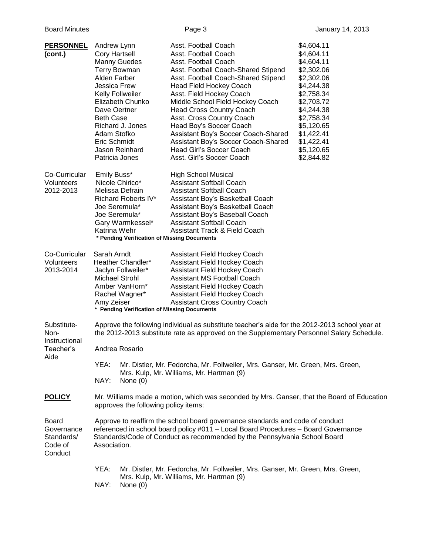| <b>PERSONNEL</b><br>(cont.)                               | Andrew Lynn<br><b>Cory Hartsell</b><br>Alden Farber<br><b>Jessica Frew</b><br>Dave Oertner<br><b>Beth Case</b><br>Adam Stofko<br>Eric Schmidt<br>Patricia Jones                                                                                                                                                                                                                                                         | <b>Manny Guedes</b><br><b>Terry Bowman</b><br>Kelly Follweiler<br>Elizabeth Chunko<br>Richard J. Jones<br>Jason Reinhard                                       | Asst. Football Coach<br>Asst. Football Coach<br>Asst. Football Coach<br>Asst. Football Coach-Shared Stipend<br>Asst. Football Coach-Shared Stipend<br><b>Head Field Hockey Coach</b><br>Asst. Field Hockey Coach<br>Middle School Field Hockey Coach<br><b>Head Cross Country Coach</b><br>Asst. Cross Country Coach<br>Head Boy's Soccer Coach<br>Assistant Boy's Soccer Coach-Shared<br>Assistant Boy's Soccer Coach-Shared<br>Head Girl's Soccer Coach<br>Asst. Girl's Soccer Coach | \$4,604.11<br>\$4,604.11<br>\$4,604.11<br>\$2,302.06<br>\$2,302.06<br>\$4,244.38<br>\$2,758.34<br>\$2,703.72<br>\$4,244.38<br>\$2,758.34<br>\$5,120.65<br>\$1,422.41<br>\$1,422.41<br>\$5,120.65<br>\$2,844.82 |
|-----------------------------------------------------------|-------------------------------------------------------------------------------------------------------------------------------------------------------------------------------------------------------------------------------------------------------------------------------------------------------------------------------------------------------------------------------------------------------------------------|----------------------------------------------------------------------------------------------------------------------------------------------------------------|----------------------------------------------------------------------------------------------------------------------------------------------------------------------------------------------------------------------------------------------------------------------------------------------------------------------------------------------------------------------------------------------------------------------------------------------------------------------------------------|----------------------------------------------------------------------------------------------------------------------------------------------------------------------------------------------------------------|
| Co-Curricular<br>Volunteers<br>2012-2013                  | Emily Buss*<br>Katrina Wehr                                                                                                                                                                                                                                                                                                                                                                                             | Nicole Chirico*<br>Melissa Defrain<br>Richard Roberts IV*<br>Joe Seremula*<br>Joe Seremula*<br>Gary Warmkessel*<br>* Pending Verification of Missing Documents | <b>High School Musical</b><br><b>Assistant Softball Coach</b><br><b>Assistant Softball Coach</b><br>Assistant Boy's Basketball Coach<br>Assistant Boy's Basketball Coach<br>Assistant Boy's Baseball Coach<br><b>Assistant Softball Coach</b><br><b>Assistant Track &amp; Field Coach</b>                                                                                                                                                                                              |                                                                                                                                                                                                                |
| Co-Curricular<br>Volunteers<br>2013-2014                  | Sarah Arndt<br>Assistant Field Hockey Coach<br>Heather Chandler*<br>Assistant Field Hockey Coach<br>Assistant Field Hockey Coach<br>Jaclyn Follweiler*<br>Michael Strohl<br><b>Assistant MS Football Coach</b><br>Amber VanHorn*<br>Assistant Field Hockey Coach<br>Assistant Field Hockey Coach<br>Rachel Wagner*<br>Amy Zeiser<br><b>Assistant Cross Country Coach</b><br>* Pending Verification of Missing Documents |                                                                                                                                                                |                                                                                                                                                                                                                                                                                                                                                                                                                                                                                        |                                                                                                                                                                                                                |
| Substitute-<br>Non-<br>Instructional<br>Teacher's<br>Aide | Approve the following individual as substitute teacher's aide for the 2012-2013 school year at<br>the 2012-2013 substitute rate as approved on the Supplementary Personnel Salary Schedule.<br>Andrea Rosario<br>YEA:<br>Mr. Distler, Mr. Fedorcha, Mr. Follweiler, Mrs. Ganser, Mr. Green, Mrs. Green,                                                                                                                 |                                                                                                                                                                |                                                                                                                                                                                                                                                                                                                                                                                                                                                                                        |                                                                                                                                                                                                                |
| <b>POLICY</b>                                             | NAY:                                                                                                                                                                                                                                                                                                                                                                                                                    | None $(0)$                                                                                                                                                     | Mrs. Kulp, Mr. Williams, Mr. Hartman (9)<br>Mr. Williams made a motion, which was seconded by Mrs. Ganser, that the Board of Education                                                                                                                                                                                                                                                                                                                                                 |                                                                                                                                                                                                                |
|                                                           |                                                                                                                                                                                                                                                                                                                                                                                                                         | approves the following policy items:                                                                                                                           |                                                                                                                                                                                                                                                                                                                                                                                                                                                                                        |                                                                                                                                                                                                                |
| Board<br>Governance<br>Standards/<br>Code of<br>Conduct   | Approve to reaffirm the school board governance standards and code of conduct<br>referenced in school board policy #011 - Local Board Procedures - Board Governance<br>Standards/Code of Conduct as recommended by the Pennsylvania School Board<br>Association.                                                                                                                                                        |                                                                                                                                                                |                                                                                                                                                                                                                                                                                                                                                                                                                                                                                        |                                                                                                                                                                                                                |
|                                                           | YEA:<br>NAY:                                                                                                                                                                                                                                                                                                                                                                                                            | None $(0)$                                                                                                                                                     | Mr. Distler, Mr. Fedorcha, Mr. Follweiler, Mrs. Ganser, Mr. Green, Mrs. Green,<br>Mrs. Kulp, Mr. Williams, Mr. Hartman (9)                                                                                                                                                                                                                                                                                                                                                             |                                                                                                                                                                                                                |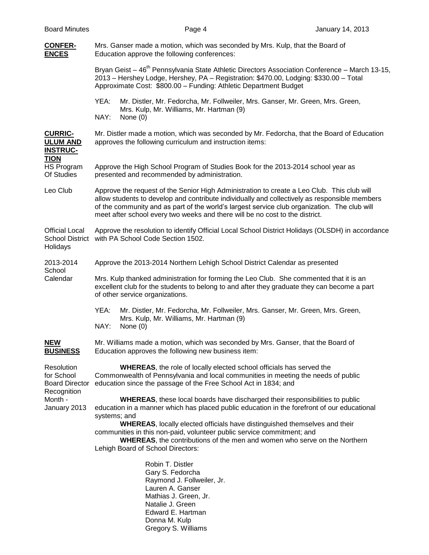| <b>Board Minutes</b>                                                                        |                                                                                                                                                                                                                                                                                                                                                                                                                                                                                            | Page 4                                                                                                                                                                                                                              | January 14, 2013 |  |
|---------------------------------------------------------------------------------------------|--------------------------------------------------------------------------------------------------------------------------------------------------------------------------------------------------------------------------------------------------------------------------------------------------------------------------------------------------------------------------------------------------------------------------------------------------------------------------------------------|-------------------------------------------------------------------------------------------------------------------------------------------------------------------------------------------------------------------------------------|------------------|--|
| <b>CONFER-</b><br><b>ENCES</b>                                                              |                                                                                                                                                                                                                                                                                                                                                                                                                                                                                            | Mrs. Ganser made a motion, which was seconded by Mrs. Kulp, that the Board of<br>Education approve the following conferences:                                                                                                       |                  |  |
|                                                                                             | Bryan Geist - 46 <sup>th</sup> Pennsylvania State Athletic Directors Association Conference - March 13-15,<br>2013 - Hershey Lodge, Hershey, PA - Registration: \$470.00, Lodging: \$330.00 - Total<br>Approximate Cost: \$800.00 - Funding: Athletic Department Budget                                                                                                                                                                                                                    |                                                                                                                                                                                                                                     |                  |  |
|                                                                                             | YEA:<br>NAY:                                                                                                                                                                                                                                                                                                                                                                                                                                                                               | Mr. Distler, Mr. Fedorcha, Mr. Follweiler, Mrs. Ganser, Mr. Green, Mrs. Green,<br>Mrs. Kulp, Mr. Williams, Mr. Hartman (9)<br>None $(0)$                                                                                            |                  |  |
| <b>CURRIC-</b><br><b>ULUM AND</b><br><b>INSTRUC-</b><br><b>TION</b>                         |                                                                                                                                                                                                                                                                                                                                                                                                                                                                                            | Mr. Distler made a motion, which was seconded by Mr. Fedorcha, that the Board of Education<br>approves the following curriculum and instruction items:                                                                              |                  |  |
| HS Program<br>Of Studies                                                                    | Approve the High School Program of Studies Book for the 2013-2014 school year as<br>presented and recommended by administration.                                                                                                                                                                                                                                                                                                                                                           |                                                                                                                                                                                                                                     |                  |  |
| Leo Club                                                                                    | Approve the request of the Senior High Administration to create a Leo Club. This club will<br>allow students to develop and contribute individually and collectively as responsible members<br>of the community and as part of the world's largest service club organization. The club will<br>meet after school every two weeks and there will be no cost to the district.                                                                                                                |                                                                                                                                                                                                                                     |                  |  |
| <b>Official Local</b><br>Holidays                                                           | Approve the resolution to identify Official Local School District Holidays (OLSDH) in accordance<br>School District with PA School Code Section 1502.                                                                                                                                                                                                                                                                                                                                      |                                                                                                                                                                                                                                     |                  |  |
| 2013-2014                                                                                   |                                                                                                                                                                                                                                                                                                                                                                                                                                                                                            | Approve the 2013-2014 Northern Lehigh School District Calendar as presented                                                                                                                                                         |                  |  |
| School<br>Calendar                                                                          | Mrs. Kulp thanked administration for forming the Leo Club. She commented that it is an<br>excellent club for the students to belong to and after they graduate they can become a part<br>of other service organizations.                                                                                                                                                                                                                                                                   |                                                                                                                                                                                                                                     |                  |  |
|                                                                                             | YEA:<br>NAY:                                                                                                                                                                                                                                                                                                                                                                                                                                                                               | Mr. Distler, Mr. Fedorcha, Mr. Follweiler, Mrs. Ganser, Mr. Green, Mrs. Green,<br>Mrs. Kulp, Mr. Williams, Mr. Hartman (9)<br>None $(0)$                                                                                            |                  |  |
| <b>NEW</b><br><b>BUSINESS</b>                                                               |                                                                                                                                                                                                                                                                                                                                                                                                                                                                                            | Mr. Williams made a motion, which was seconded by Mrs. Ganser, that the Board of<br>Education approves the following new business item:                                                                                             |                  |  |
| Resolution<br>for School<br><b>Board Director</b><br>Recognition<br>Month -<br>January 2013 |                                                                                                                                                                                                                                                                                                                                                                                                                                                                                            | <b>WHEREAS, the role of locally elected school officials has served the</b><br>Commonwealth of Pennsylvania and local communities in meeting the needs of public<br>education since the passage of the Free School Act in 1834; and |                  |  |
|                                                                                             | <b>WHEREAS, these local boards have discharged their responsibilities to public</b><br>education in a manner which has placed public education in the forefront of our educational<br>systems; and<br><b>WHEREAS, locally elected officials have distinguished themselves and their</b><br>communities in this non-paid, volunteer public service commitment; and<br><b>WHEREAS, the contributions of the men and women who serve on the Northern</b><br>Lehigh Board of School Directors: |                                                                                                                                                                                                                                     |                  |  |
|                                                                                             |                                                                                                                                                                                                                                                                                                                                                                                                                                                                                            | Robin T. Distler<br>Gary S. Fedorcha<br>Raymond J. Follweiler, Jr.<br>Lauren A. Ganser<br>Mathias J. Green, Jr.<br>Natalie J. Green<br>Edward E. Hartman<br>Donna M. Kulp                                                           |                  |  |

Gregory S. Williams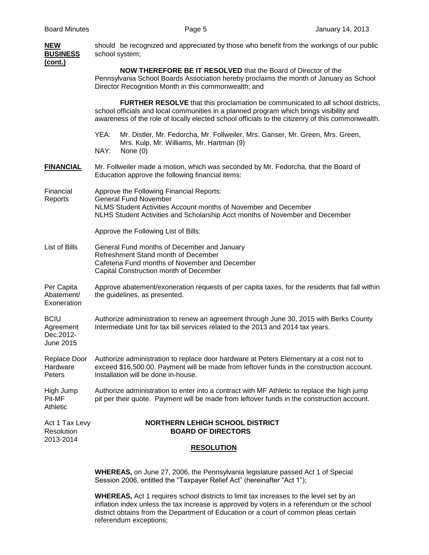| <b>NEW</b><br><b>BUSINESS</b><br>(cont.)           | should be recognized and appreciated by those who benefit from the workings of our public<br>school system;                                                                                                                                                                           |
|----------------------------------------------------|---------------------------------------------------------------------------------------------------------------------------------------------------------------------------------------------------------------------------------------------------------------------------------------|
|                                                    | <b>NOW THEREFORE BE IT RESOLVED</b> that the Board of Director of the<br>Pennsylvania School Boards Association hereby proclaims the month of January as School<br>Director Recognition Month in this commonwealth; and                                                               |
|                                                    | <b>FURTHER RESOLVE</b> that this proclamation be communicated to all school districts,<br>school officials and local communities in a planned program which brings visibility and<br>awareness of the role of locally elected school officials to the citizenry of this commonwealth. |
|                                                    | YEA:<br>Mr. Distler, Mr. Fedorcha, Mr. Follweiler, Mrs. Ganser, Mr. Green, Mrs. Green,<br>Mrs. Kulp, Mr. Williams, Mr. Hartman (9)<br>NAY:<br>None $(0)$                                                                                                                              |
| <b>FINANCIAL</b>                                   | Mr. Follweiler made a motion, which was seconded by Mr. Fedorcha, that the Board of<br>Education approve the following financial items:                                                                                                                                               |
| Financial<br>Reports                               | Approve the Following Financial Reports:<br><b>General Fund November</b><br>NLMS Student Activities Account months of November and December<br>NLHS Student Activities and Scholarship Acct months of November and December                                                           |
|                                                    | Approve the Following List of Bills:                                                                                                                                                                                                                                                  |
| List of Bills                                      | General Fund months of December and January<br>Refreshment Stand month of December<br>Cafeteria Fund months of November and December<br>Capital Construction month of December                                                                                                        |
| Per Capita<br>Abatement/<br>Exoneration            | Approve abatement/exoneration requests of per capita taxes, for the residents that fall within<br>the guidelines, as presented.                                                                                                                                                       |
| <b>BCIU</b><br>Agreement<br>Dec.2012-<br>June 2015 | Authorize administration to renew an agreement through June 30, 2015 with Berks County<br>Intermediate Unit for tax bill services related to the 2013 and 2014 tax years.                                                                                                             |
| Replace Door<br>Hardware<br>Peters                 | Authorize administration to replace door hardware at Peters Elementary at a cost not to<br>exceed \$16,500.00. Payment will be made from leftover funds in the construction account.<br>Installation will be done in-house.                                                           |
| High Jump<br>Pit-MF<br>Athletic                    | Authorize administration to enter into a contract with MF Athletic to replace the high jump<br>pit per their quote. Payment will be made from leftover funds in the construction account.                                                                                             |
| Act 1 Tax Levy<br>Resolution<br>2013-2014          | <b>NORTHERN LEHIGH SCHOOL DISTRICT</b><br><b>BOARD OF DIRECTORS</b>                                                                                                                                                                                                                   |
|                                                    | <b>RESOLUTION</b>                                                                                                                                                                                                                                                                     |

**WHEREAS,** on June 27, 2006, the Pennsylvania legislature passed Act 1 of Special Session 2006, entitled the "Taxpayer Relief Act" (hereinafter "Act 1");

**WHEREAS,** Act 1 requires school districts to limit tax increases to the level set by an inflation index unless the tax increase is approved by voters in a referendum or the school district obtains from the Department of Education or a court of common pleas certain referendum exceptions;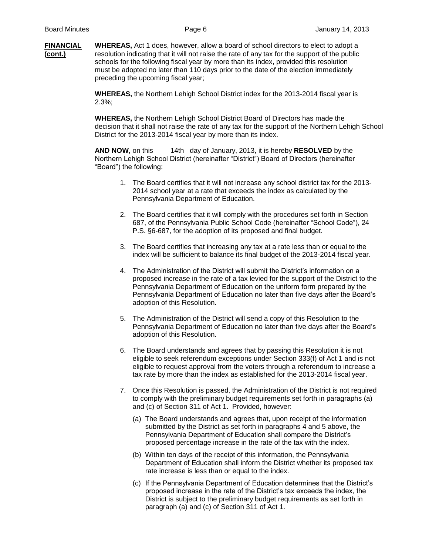**FINANCIAL WHEREAS,** Act 1 does, however, allow a board of school directors to elect to adopt a **(cont.)** resolution indicating that it will not raise the rate of any tax for the support of the public schools for the following fiscal year by more than its index, provided this resolution must be adopted no later than 110 days prior to the date of the election immediately preceding the upcoming fiscal year;

> **WHEREAS,** the Northern Lehigh School District index for the 2013-2014 fiscal year is 2.3%;

**WHEREAS,** the Northern Lehigh School District Board of Directors has made the decision that it shall not raise the rate of any tax for the support of the Northern Lehigh School District for the 2013-2014 fiscal year by more than its index.

**AND NOW,** on this 14th day of January, 2013, it is hereby **RESOLVED** by the Northern Lehigh School District (hereinafter "District") Board of Directors (hereinafter "Board") the following:

- 1. The Board certifies that it will not increase any school district tax for the 2013- 2014 school year at a rate that exceeds the index as calculated by the Pennsylvania Department of Education.
- 2. The Board certifies that it will comply with the procedures set forth in Section 687, of the Pennsylvania Public School Code (hereinafter "School Code"), 24 P.S. §6-687, for the adoption of its proposed and final budget.
- 3. The Board certifies that increasing any tax at a rate less than or equal to the index will be sufficient to balance its final budget of the 2013-2014 fiscal year.
- 4. The Administration of the District will submit the District's information on a proposed increase in the rate of a tax levied for the support of the District to the Pennsylvania Department of Education on the uniform form prepared by the Pennsylvania Department of Education no later than five days after the Board's adoption of this Resolution.
- 5. The Administration of the District will send a copy of this Resolution to the Pennsylvania Department of Education no later than five days after the Board's adoption of this Resolution.
- 6. The Board understands and agrees that by passing this Resolution it is not eligible to seek referendum exceptions under Section 333(f) of Act 1 and is not eligible to request approval from the voters through a referendum to increase a tax rate by more than the index as established for the 2013-2014 fiscal year.
- 7. Once this Resolution is passed, the Administration of the District is not required to comply with the preliminary budget requirements set forth in paragraphs (a) and (c) of Section 311 of Act 1. Provided, however:
	- (a) The Board understands and agrees that, upon receipt of the information submitted by the District as set forth in paragraphs 4 and 5 above, the Pennsylvania Department of Education shall compare the District's proposed percentage increase in the rate of the tax with the index.
	- (b) Within ten days of the receipt of this information, the Pennsylvania Department of Education shall inform the District whether its proposed tax rate increase is less than or equal to the index.
	- (c) If the Pennsylvania Department of Education determines that the District's proposed increase in the rate of the District's tax exceeds the index, the District is subject to the preliminary budget requirements as set forth in paragraph (a) and (c) of Section 311 of Act 1.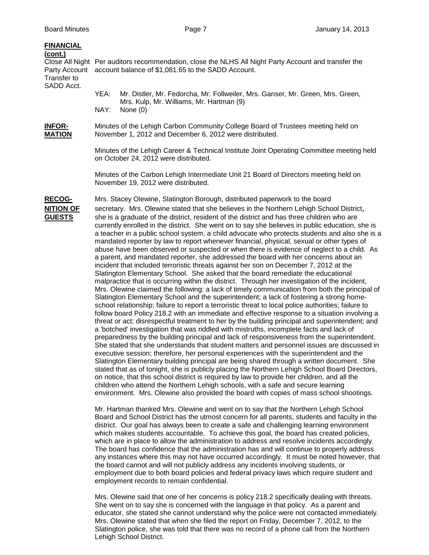| <b>FINANCIAL</b><br>(cont.)<br>Party Account<br>Transfer to<br>SADD Acct. |                                                                                                                                                                                                                                                                                                                                                                                                                                                                                                                                                                                                                                                                                                                                                                                                                                                                                                                                                                                                                                                                                                                                                                                                                                                                                                                                                                                                                                                                                                                                                                                                                                                                                                                                                                                                                                                                                                                                                                                                                                                                                                                                                                                                                                                                                                                                                                                                                                                                                                                                                                                                        | Close All Night Per auditors recommendation, close the NLHS All Night Party Account and transfer the<br>account balance of \$1,081.65 to the SADD Account. |  |  |
|---------------------------------------------------------------------------|--------------------------------------------------------------------------------------------------------------------------------------------------------------------------------------------------------------------------------------------------------------------------------------------------------------------------------------------------------------------------------------------------------------------------------------------------------------------------------------------------------------------------------------------------------------------------------------------------------------------------------------------------------------------------------------------------------------------------------------------------------------------------------------------------------------------------------------------------------------------------------------------------------------------------------------------------------------------------------------------------------------------------------------------------------------------------------------------------------------------------------------------------------------------------------------------------------------------------------------------------------------------------------------------------------------------------------------------------------------------------------------------------------------------------------------------------------------------------------------------------------------------------------------------------------------------------------------------------------------------------------------------------------------------------------------------------------------------------------------------------------------------------------------------------------------------------------------------------------------------------------------------------------------------------------------------------------------------------------------------------------------------------------------------------------------------------------------------------------------------------------------------------------------------------------------------------------------------------------------------------------------------------------------------------------------------------------------------------------------------------------------------------------------------------------------------------------------------------------------------------------------------------------------------------------------------------------------------------------|------------------------------------------------------------------------------------------------------------------------------------------------------------|--|--|
|                                                                           | YEA:<br>NAY:                                                                                                                                                                                                                                                                                                                                                                                                                                                                                                                                                                                                                                                                                                                                                                                                                                                                                                                                                                                                                                                                                                                                                                                                                                                                                                                                                                                                                                                                                                                                                                                                                                                                                                                                                                                                                                                                                                                                                                                                                                                                                                                                                                                                                                                                                                                                                                                                                                                                                                                                                                                           | Mr. Distler, Mr. Fedorcha, Mr. Follweiler, Mrs. Ganser, Mr. Green, Mrs. Green,<br>Mrs. Kulp, Mr. Williams, Mr. Hartman (9)<br>None $(0)$                   |  |  |
| <b>INFOR-</b><br><b>MATION</b>                                            |                                                                                                                                                                                                                                                                                                                                                                                                                                                                                                                                                                                                                                                                                                                                                                                                                                                                                                                                                                                                                                                                                                                                                                                                                                                                                                                                                                                                                                                                                                                                                                                                                                                                                                                                                                                                                                                                                                                                                                                                                                                                                                                                                                                                                                                                                                                                                                                                                                                                                                                                                                                                        | Minutes of the Lehigh Carbon Community College Board of Trustees meeting held on<br>November 1, 2012 and December 6, 2012 were distributed.                |  |  |
|                                                                           | Minutes of the Lehigh Career & Technical Institute Joint Operating Committee meeting held<br>on October 24, 2012 were distributed.                                                                                                                                                                                                                                                                                                                                                                                                                                                                                                                                                                                                                                                                                                                                                                                                                                                                                                                                                                                                                                                                                                                                                                                                                                                                                                                                                                                                                                                                                                                                                                                                                                                                                                                                                                                                                                                                                                                                                                                                                                                                                                                                                                                                                                                                                                                                                                                                                                                                     |                                                                                                                                                            |  |  |
|                                                                           | Minutes of the Carbon Lehigh Intermediate Unit 21 Board of Directors meeting held on<br>November 19, 2012 were distributed.                                                                                                                                                                                                                                                                                                                                                                                                                                                                                                                                                                                                                                                                                                                                                                                                                                                                                                                                                                                                                                                                                                                                                                                                                                                                                                                                                                                                                                                                                                                                                                                                                                                                                                                                                                                                                                                                                                                                                                                                                                                                                                                                                                                                                                                                                                                                                                                                                                                                            |                                                                                                                                                            |  |  |
| <b>RECOG-</b><br><b>NITION OF</b><br><b>GUESTS</b>                        | Mrs. Stacey Olewine, Slatington Borough, distributed paperwork to the board<br>secretary. Mrs. Olewine stated that she believes in the Northern Lehigh School District,<br>she is a graduate of the district, resident of the district and has three children who are<br>currently enrolled in the district. She went on to say she believes in public education, she is<br>a teacher in a public school system, a child advocate who protects students and also she is a<br>mandated reporter by law to report whenever financial, physical, sexual or other types of<br>abuse have been observed or suspected or when there is evidence of neglect to a child. As<br>a parent, and mandated reporter, she addressed the board with her concerns about an<br>incident that included terroristic threats against her son on December 7, 2012 at the<br>Slatington Elementary School. She asked that the board remediate the educational<br>malpractice that is occurring within the district. Through her investigation of the incident,<br>Mrs. Olewine claimed the following: a lack of timely communication from both the principal of<br>Slatington Elementary School and the superintendent; a lack of fostering a strong home-<br>school relationship; failure to report a terroristic threat to local police authorities; failure to<br>follow board Policy 218.2 with an immediate and effective response to a situation involving a<br>threat or act; disrespectful treatment to her by the building principal and superintendent; and<br>a 'botched' investigation that was riddled with mistruths, incomplete facts and lack of<br>preparedness by the building principal and lack of responsiveness from the superintendent.<br>She stated that she understands that student matters and personnel issues are discussed in<br>executive session; therefore, her personal experiences with the superintendent and the<br>Slatington Elementary building principal are being shared through a written document. She<br>stated that as of tonight, she is publicly placing the Northern Lehigh School Board Directors,<br>on notice, that this school district is required by law to provide her children, and all the<br>children who attend the Northern Lehigh schools, with a safe and secure learning<br>environment. Mrs. Olewine also provided the board with copies of mass school shootings.<br>Mr. Hartman thanked Mrs. Olewine and went on to say that the Northern Lehigh School<br>Board and School District has the utmost concern for all parents, students and faculty in the |                                                                                                                                                            |  |  |

which are in place to allow the administration to address and resolve incidents accordingly. The board has confidence that the administration has and will continue to properly address any instances where this may not have occurred accordingly. It must be noted however, that the board cannot and will not publicly address any incidents involving students, or employment due to both board policies and federal privacy laws which require student and employment records to remain confidential.

Mrs. Olewine said that one of her concerns is policy 218.2 specifically dealing with threats. She went on to say she is concerned with the language in that policy. As a parent and educator, she stated she cannot understand why the police were not contacted immediately. Mrs. Olewine stated that when she filed the report on Friday, December 7, 2012, to the Slatington police, she was told that there was no record of a phone call from the Northern Lehigh School District.